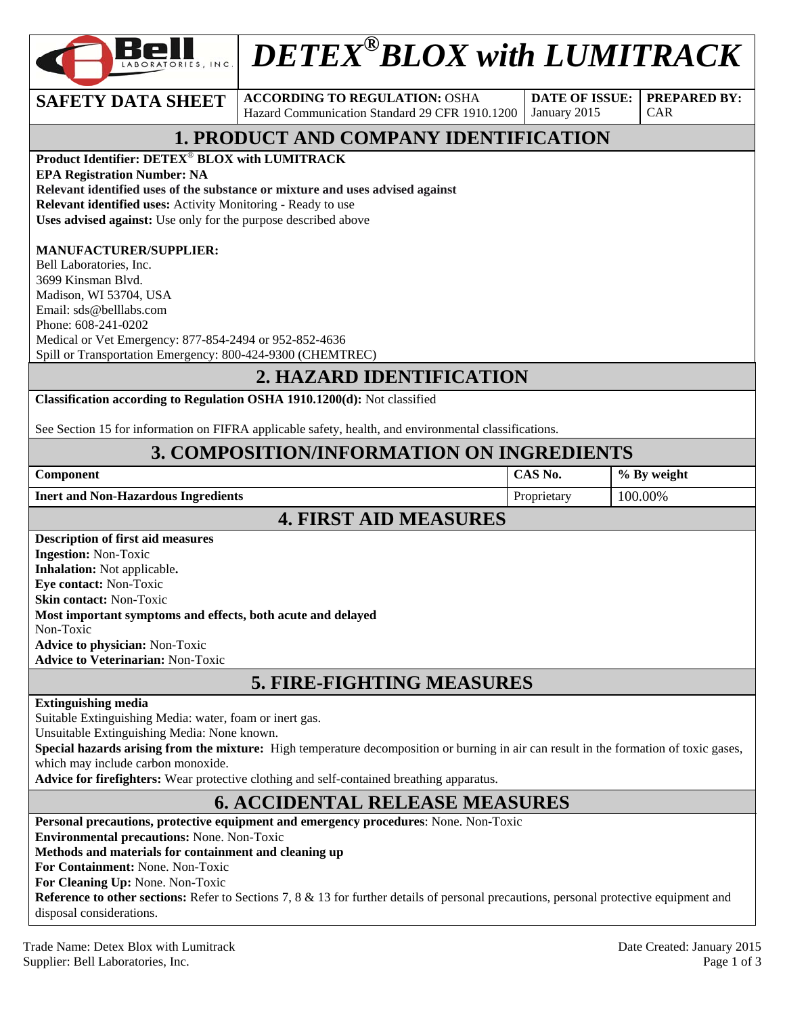

# *DETEX®BLOX with LUMITRACK*

**SAFETY DATA SHEET ACCORDING TO REGULATION: OSHA** Hazard Communication Standard 29 CFR 1910.1200

**DATE OF ISSUE:**  January 2015

**PREPARED BY:**  CAR

# **1. PRODUCT AND COMPANY IDENTIFICATION**

**Product Identifier: DETEX**® **BLOX with LUMITRACK EPA Registration Number: NA Relevant identified uses of the substance or mixture and uses advised against**

**Relevant identified uses:** Activity Monitoring - Ready to use

**Uses advised against:** Use only for the purpose described above

#### **MANUFACTURER/SUPPLIER:**

Bell Laboratories, Inc. 3699 Kinsman Blvd. Madison, WI 53704, USA Email: sds@belllabs.com Phone: 608-241-0202 Medical or Vet Emergency: 877-854-2494 or 952-852-4636 Spill or Transportation Emergency: 800-424-9300 (CHEMTREC)

## **2. HAZARD IDENTIFICATION**

**Classification according to Regulation OSHA 1910.1200(d):** Not classified

See Section 15 for information on FIFRA applicable safety, health, and environmental classifications.

## **3. COMPOSITION/INFORMATION ON INGREDIENTS**

| <b>Component</b>                    | CAS No.     | % By weight |
|-------------------------------------|-------------|-------------|
| Inert and Non-Hazardous Ingredients | Proprietary | 100.00%     |
| <b>4. FIRST AID MEASURES</b>        |             |             |

#### **Description of first aid measures Ingestion:** Non-Toxic **Inhalation:** Not applicable**. Eye contact:** Non-Toxic **Skin contact:** Non-Toxic **Most important symptoms and effects, both acute and delayed**  Non-Toxic **Advice to physician:** Non-Toxic **Advice to Veterinarian:** Non-Toxic

# **5. FIRE-FIGHTING MEASURES**

#### **Extinguishing media**

Suitable Extinguishing Media: water, foam or inert gas.

Unsuitable Extinguishing Media: None known.

**Special hazards arising from the mixture:** High temperature decomposition or burning in air can result in the formation of toxic gases, which may include carbon monoxide.

**Advice for firefighters:** Wear protective clothing and self-contained breathing apparatus.

# **6. ACCIDENTAL RELEASE MEASURES**

**Personal precautions, protective equipment and emergency procedures**: None. Non-Toxic

**Environmental precautions:** None. Non-Toxic

#### **Methods and materials for containment and cleaning up**

**For Containment:** None. Non-Toxic

**For Cleaning Up:** None. Non-Toxic

**Reference to other sections:** Refer to Sections 7, 8 & 13 for further details of personal precautions, personal protective equipment and disposal considerations.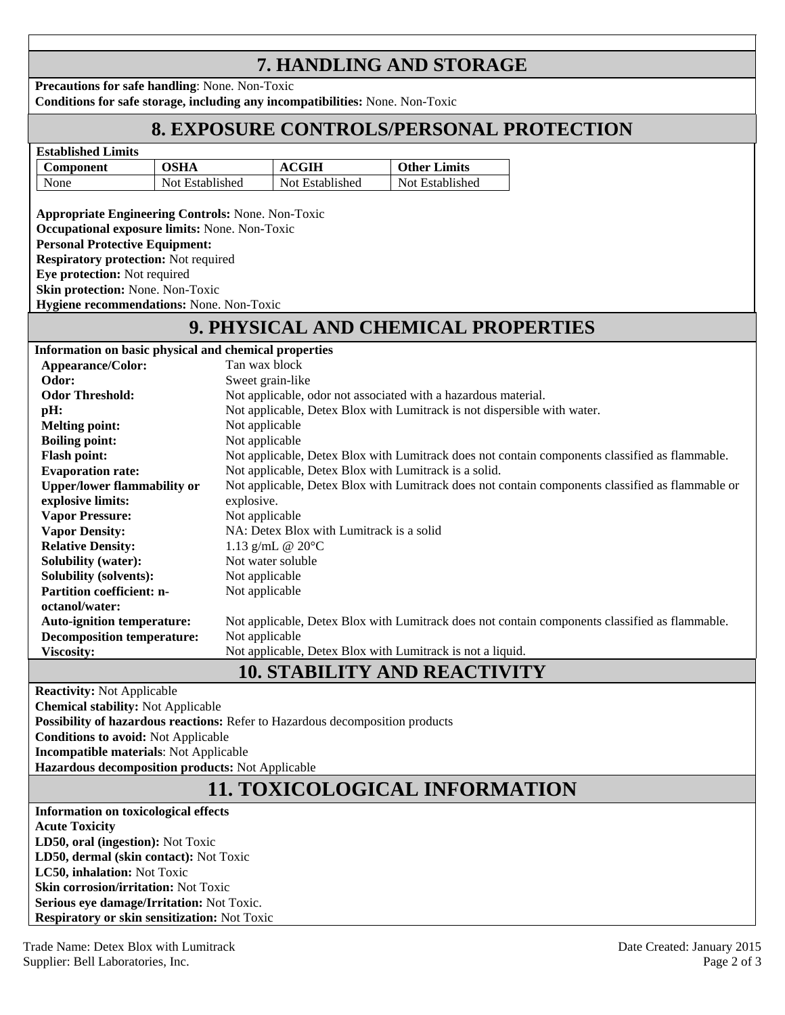# **7. HANDLING AND STORAGE**

**Precautions for safe handling**: None. Non-Toxic **Conditions for safe storage, including any incompatibilities:** None. Non-Toxic

# **8. EXPOSURE CONTROLS/PERSONAL PROTECTION**

| Component |                 | GIH             | <b>Other Limits</b> |
|-----------|-----------------|-----------------|---------------------|
| None      | Not Established | Not Established | Not Established     |

**Appropriate Engineering Controls:** None. Non-Toxic **Occupational exposure limits:** None. Non-Toxic **Personal Protective Equipment: Respiratory protection:** Not required **Eye protection:** Not required

**Skin protection:** None. Non-Toxic **Hygiene recommendations:** None. Non-Toxic

# **9. PHYSICAL AND CHEMICAL PROPERTIES**

| Information on basic physical and chemical properties |                                                                                                  |  |  |  |
|-------------------------------------------------------|--------------------------------------------------------------------------------------------------|--|--|--|
| Appearance/Color:                                     | Tan wax block                                                                                    |  |  |  |
| Odor:                                                 | Sweet grain-like                                                                                 |  |  |  |
| <b>Odor Threshold:</b>                                | Not applicable, odor not associated with a hazardous material.                                   |  |  |  |
| pH:                                                   | Not applicable, Detex Blox with Lumitrack is not dispersible with water.                         |  |  |  |
| <b>Melting point:</b>                                 | Not applicable                                                                                   |  |  |  |
| <b>Boiling point:</b>                                 | Not applicable                                                                                   |  |  |  |
| <b>Flash point:</b>                                   | Not applicable, Detex Blox with Lumitrack does not contain components classified as flammable.   |  |  |  |
| <b>Evaporation rate:</b>                              | Not applicable, Detex Blox with Lumitrack is a solid.                                            |  |  |  |
| <b>Upper/lower flammability or</b>                    | Not applicable, Detex Blox with Lumitrack does not contain components classified as flammable or |  |  |  |
| explosive limits:                                     | explosive.                                                                                       |  |  |  |
| <b>Vapor Pressure:</b>                                | Not applicable                                                                                   |  |  |  |
| <b>Vapor Density:</b>                                 | NA: Detex Blox with Lumitrack is a solid                                                         |  |  |  |
| <b>Relative Density:</b>                              | 1.13 g/mL $@ 20°C$                                                                               |  |  |  |
| <b>Solubility (water):</b>                            | Not water soluble                                                                                |  |  |  |
| <b>Solubility (solvents):</b>                         | Not applicable                                                                                   |  |  |  |
| <b>Partition coefficient: n-</b>                      | Not applicable                                                                                   |  |  |  |
| octanol/water:                                        |                                                                                                  |  |  |  |
| <b>Auto-ignition temperature:</b>                     | Not applicable, Detex Blox with Lumitrack does not contain components classified as flammable.   |  |  |  |
| <b>Decomposition temperature:</b>                     | Not applicable                                                                                   |  |  |  |
| <b>Viscosity:</b>                                     | Not applicable, Detex Blox with Lumitrack is not a liquid.                                       |  |  |  |
|                                                       | <b>10. STABILITY AND REACTIVITY</b>                                                              |  |  |  |

**Reactivity:** Not Applicable

**Chemical stability:** Not Applicable

**Possibility of hazardous reactions:** Refer to Hazardous decomposition products

**Conditions to avoid:** Not Applicable

**Incompatible materials**: Not Applicable

**Hazardous decomposition products:** Not Applicable

# **11. TOXICOLOGICAL INFORMATION**

**Information on toxicological effects Acute Toxicity LD50, oral (ingestion):** Not Toxic **LD50, dermal (skin contact):** Not Toxic **LC50, inhalation:** Not Toxic **Skin corrosion/irritation:** Not Toxic **Serious eye damage/Irritation:** Not Toxic. **Respiratory or skin sensitization:** Not Toxic